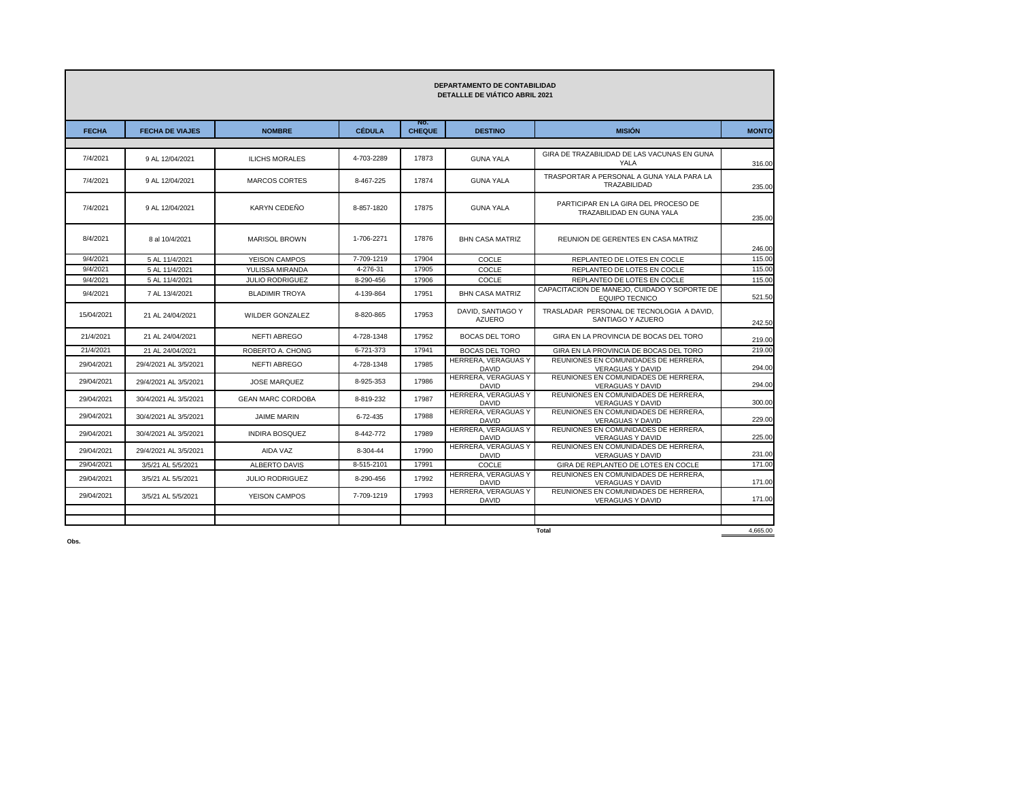| <b>DEPARTAMENTO DE CONTABILIDAD</b><br><b>DETALLLE DE VIATICO ABRIL 2021</b> |                        |                          |               |                      |                                     |                                                                       |              |
|------------------------------------------------------------------------------|------------------------|--------------------------|---------------|----------------------|-------------------------------------|-----------------------------------------------------------------------|--------------|
| <b>FECHA</b>                                                                 | <b>FECHA DE VIAJES</b> | <b>NOMBRE</b>            | <b>CÉDULA</b> | No.<br><b>CHEQUE</b> | <b>DESTINO</b>                      | <b>MISIÓN</b>                                                         | <b>MONTO</b> |
| 7/4/2021                                                                     | 9 AL 12/04/2021        | <b>ILICHS MORALES</b>    | 4-703-2289    | 17873                | <b>GUNA YALA</b>                    | GIRA DE TRAZABILIDAD DE LAS VACUNAS EN GUNA<br><b>YALA</b>            | 316.00       |
| 7/4/2021                                                                     | 9 AL 12/04/2021        | <b>MARCOS CORTES</b>     | 8-467-225     | 17874                | <b>GUNA YALA</b>                    | TRASPORTAR A PERSONAL A GUNA YALA PARA LA<br>TRAZABILIDAD             | 235.00       |
| 7/4/2021                                                                     | 9 AL 12/04/2021        | KARYN CEDEÑO             | 8-857-1820    | 17875                | <b>GUNA YALA</b>                    | PARTICIPAR EN LA GIRA DEL PROCESO DE<br>TRAZABILIDAD EN GUNA YALA     | 235.00       |
| 8/4/2021                                                                     | 8 al 10/4/2021         | <b>MARISOL BROWN</b>     | 1-706-2271    | 17876                | <b>BHN CASA MATRIZ</b>              | REUNION DE GERENTES EN CASA MATRIZ                                    | 246.00       |
| 9/4/2021                                                                     | 5 AL 11/4/2021         | YEISON CAMPOS            | 7-709-1219    | 17904                | COCLE                               | REPLANTEO DE LOTES EN COCLE                                           | 115.00       |
| 9/4/2021                                                                     | 5 AL 11/4/2021         | YULISSA MIRANDA          | 4-276-31      | 17905                | COCLE                               | REPLANTEO DE LOTES EN COCLE                                           | 115.00       |
| 9/4/2021                                                                     | 5 AL 11/4/2021         | <b>JULIO RODRIGUEZ</b>   | 8-290-456     | 17906                | COCLE                               | REPLANTEO DE LOTES EN COCLE                                           | 115.00       |
| 9/4/2021                                                                     | 7 AL 13/4/2021         | <b>BLADIMIR TROYA</b>    | 4-139-864     | 17951                | <b>BHN CASA MATRIZ</b>              | CAPACITACION DE MANEJO, CUIDADO Y SOPORTE DE<br><b>EQUIPO TECNICO</b> | 521.50       |
| 15/04/2021                                                                   | 21 AL 24/04/2021       | WILDER GONZALEZ          | 8-820-865     | 17953                | DAVID. SANTIAGO Y<br>AZUERO         | TRASLADAR PERSONAL DE TECNOLOGIA A DAVID.<br>SANTIAGO Y AZUERO        | 242.50       |
| 21/4/2021                                                                    | 21 AL 24/04/2021       | NEFTI ABREGO             | 4-728-1348    | 17952                | <b>BOCAS DEL TORO</b>               | GIRA EN LA PROVINCIA DE BOCAS DEL TORO                                | 219.00       |
| 21/4/2021                                                                    | 21 AL 24/04/2021       | ROBERTO A. CHONG         | 6-721-373     | 17941                | <b>BOCAS DEL TORO</b>               | GIRA EN LA PROVINCIA DE BOCAS DEL TORO                                | 219.00       |
| 29/04/2021                                                                   | 29/4/2021 AL 3/5/2021  | NEFTI ABREGO             | 4-728-1348    | 17985                | HERRERA, VERAGUAS Y<br><b>DAVID</b> | REUNIONES EN COMUNIDADES DE HERRERA.<br><b>VERAGUAS Y DAVID</b>       | 294.00       |
| 29/04/2021                                                                   | 29/4/2021 AL 3/5/2021  | <b>JOSE MARQUEZ</b>      | 8-925-353     | 17986                | HERRERA, VERAGUAS Y<br><b>DAVID</b> | REUNIONES EN COMUNIDADES DE HERRERA.<br><b>VERAGUAS Y DAVID</b>       | 294.00       |
| 29/04/2021                                                                   | 30/4/2021 AL 3/5/2021  | <b>GEAN MARC CORDOBA</b> | 8-819-232     | 17987                | HERRERA, VERAGUAS Y<br><b>DAVID</b> | REUNIONES EN COMUNIDADES DE HERRERA,<br><b>VERAGUAS Y DAVID</b>       | 300.00       |
| 29/04/2021                                                                   | 30/4/2021 AL 3/5/2021  | <b>JAIME MARIN</b>       | 6-72-435      | 17988                | HERRERA, VERAGUAS Y<br><b>DAVID</b> | REUNIONES EN COMUNIDADES DE HERRERA.<br><b>VERAGUAS Y DAVID</b>       | 229.00       |
| 29/04/2021                                                                   | 30/4/2021 AL 3/5/2021  | <b>INDIRA BOSQUEZ</b>    | 8-442-772     | 17989                | HERRERA, VERAGUAS Y<br><b>DAVID</b> | REUNIONES EN COMUNIDADES DE HERRERA.<br>VERAGUAS Y DAVID              | 225.00       |
| 29/04/2021                                                                   | 29/4/2021 AL 3/5/2021  | AIDA VAZ                 | 8-304-44      | 17990                | HERRERA, VERAGUAS Y<br><b>DAVID</b> | REUNIONES EN COMUNIDADES DE HERRERA.<br><b>VERAGUAS Y DAVID</b>       | 231.00       |
| 29/04/2021                                                                   | 3/5/21 AL 5/5/2021     | ALBERTO DAVIS            | 8-515-2101    | 17991                | COCLE                               | GIRA DE REPLANTEO DE LOTES EN COCLE                                   | 171.00       |
| 29/04/2021                                                                   | 3/5/21 AL 5/5/2021     | <b>JULIO RODRIGUEZ</b>   | 8-290-456     | 17992                | HERRERA, VERAGUAS Y<br><b>DAVID</b> | REUNIONES EN COMUNIDADES DE HERRERA,<br><b>VERAGUAS Y DAVID</b>       | 171.00       |
| 29/04/2021                                                                   | 3/5/21 AL 5/5/2021     | YEISON CAMPOS            | 7-709-1219    | 17993                | HERRERA, VERAGUAS Y<br>DAVID        | REUNIONES EN COMUNIDADES DE HERRERA.<br><b>VERAGUAS Y DAVID</b>       | 171.00       |
|                                                                              |                        |                          |               |                      |                                     |                                                                       |              |
|                                                                              |                        |                          |               |                      |                                     | <b>Total</b>                                                          | 4,665.00     |

**Obs.**